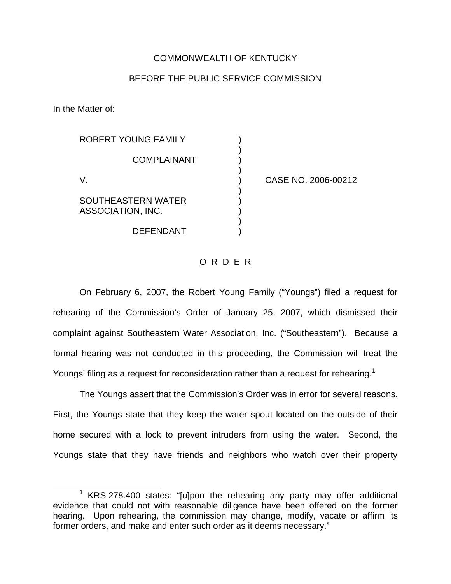## COMMONWEALTH OF KENTUCKY

## BEFORE THE PUBLIC SERVICE COMMISSION

)

)

)

)

In the Matter of:

ROBERT YOUNG FAMILY **COMPLAINANT** 

SOUTHEASTERN WATER ) ASSOCIATION, INC. )

**DEFENDANT** 

V. ) CASE NO. 2006-00212

## O R D E R

On February 6, 2007, the Robert Young Family ("Youngs") filed a request for rehearing of the Commission's Order of January 25, 2007, which dismissed their complaint against Southeastern Water Association, Inc. ("Southeastern"). Because a formal hearing was not conducted in this proceeding, the Commission will treat the Youngs' filing as a request for reconsideration rather than a request for rehearing.<sup>1</sup>

The Youngs assert that the Commission's Order was in error for several reasons. First, the Youngs state that they keep the water spout located on the outside of their home secured with a lock to prevent intruders from using the water. Second, the Youngs state that they have friends and neighbors who watch over their property

 $1$  KRS 278.400 states: "[u]pon the rehearing any party may offer additional evidence that could not with reasonable diligence have been offered on the former hearing. Upon rehearing, the commission may change, modify, vacate or affirm its former orders, and make and enter such order as it deems necessary."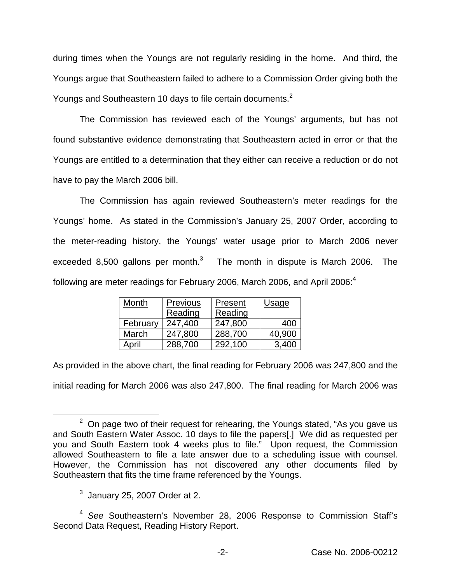during times when the Youngs are not regularly residing in the home. And third, the Youngs argue that Southeastern failed to adhere to a Commission Order giving both the Youngs and Southeastern 10 days to file certain documents.<sup>2</sup>

The Commission has reviewed each of the Youngs' arguments, but has not found substantive evidence demonstrating that Southeastern acted in error or that the Youngs are entitled to a determination that they either can receive a reduction or do not have to pay the March 2006 bill.

The Commission has again reviewed Southeastern's meter readings for the Youngs' home. As stated in the Commission's January 25, 2007 Order, according to the meter-reading history, the Youngs' water usage prior to March 2006 never exceeded 8,500 gallons per month. $3$  The month in dispute is March 2006. The following are meter readings for February 2006, March 2006, and April 2006: $4$ 

| Month    | Previous | Present | <b>Usage</b> |
|----------|----------|---------|--------------|
|          | Reading  | Reading |              |
| February | 247,400  | 247,800 | 400          |
| March    | 247,800  | 288,700 | 40,900       |
| April    | 288,700  | 292,100 | 3,400        |

As provided in the above chart, the final reading for February 2006 was 247,800 and the initial reading for March 2006 was also 247,800. The final reading for March 2006 was

 $2$  On page two of their request for rehearing, the Youngs stated, "As you gave us and South Eastern Water Assoc. 10 days to file the papers[.] We did as requested per you and South Eastern took 4 weeks plus to file." Upon request, the Commission allowed Southeastern to file a late answer due to a scheduling issue with counsel. However, the Commission has not discovered any other documents filed by Southeastern that fits the time frame referenced by the Youngs.

 $3$  January 25, 2007 Order at 2.

<sup>4</sup> *See* Southeastern's November 28, 2006 Response to Commission Staff's Second Data Request, Reading History Report.